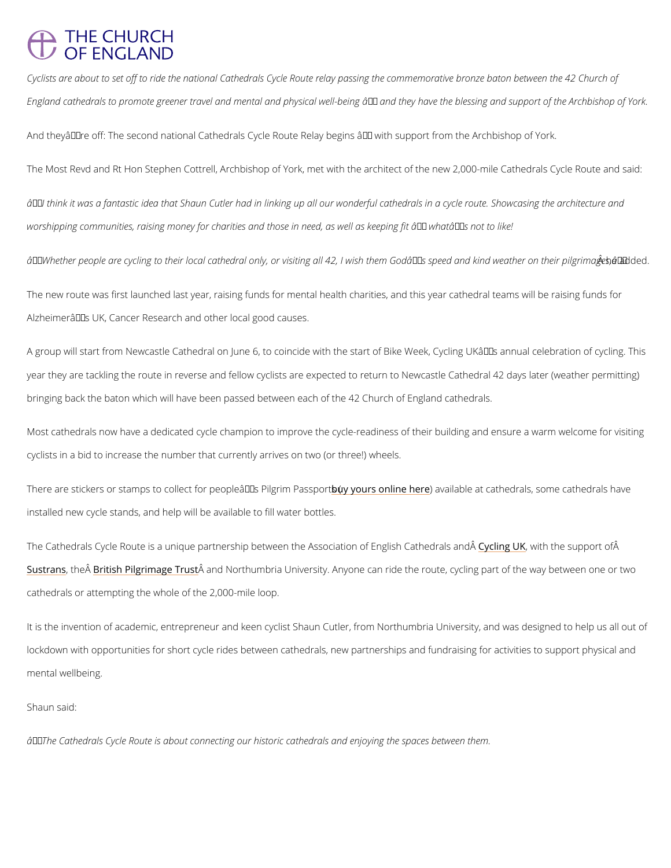## **THE CHURCH OF ENGLAND**

Cyclists are about to set off to ride the national Cathedrals Cycle Route relay passing the co England cathedrals to promote greener travel and mental and physical well-being  $\hat{a} \in \hat{ }$  and the

And theyâ $\in$  TM re off: The second national Cathedrals Cycle Route Relay begins â $\in$  " with suppo

The Most Revd and Rt Hon Stephen Cottrell, Archbishop of York, met with the architect of th

 $\hat{a} \in \infty$ I think it was a fantastic idea that Shaun Cutler had in linking up all our wonderful cathe worshipping communities, raising money for charities and those in need, as well as keeping f

 $\hat{\mathbf{a}} \in \infty$  Whether people are cycling to their local cathedral only, or visiting all 42, I w $\hat{\mathbf{A}}$ shmethaedhodeG

The new route was first launched last year, raising funds for mental health charities, and thi Alzheimerâ $\epsilon$ ™s UK, Cancer Research and other local good causes.

A group will start from Newcastle Cathedral on June 6, to coincide with the start of Bike Wee year they are tackling the route in reverse and fellow cyclists are expected to return to Newe bringing back the baton which will have been passed between each of the 42 Church of Engla

Most cathedrals now have a dedicated cycle champion to improve the cycle-readiness of thei cyclists in a bid to increase the number that currently arrives on two (or three!) wheels.

There are stickers or stamps to collect for pheouplyecâuerTY sonPliilm)genaiwhme iPPeands beopeanttsca(thedrals, some cat installed new cycle stands, and help will be available to fill water bottles.

The Cathedrals Cycle Route is a unique partnership between the Esyscolicnig, tubliction of hEen syluips pho Ctabli [Sustra](https://www.sustrans.org.uk/)ntsheB $\hat{A}$ ritish Pilgrima $\hat{A}$ geanToruNstorthumbria University. Anyone can ride the route, cycling pa cathedrals or attempting the whole of the 2,000-mile loop.

It is the invention of academic, entrepreneur and keen cyclist Shaun Cutler, from Northumbri

lockdown with opportunities for short cycle rides between cathedrals, new partnerships and f

mental wellbeing.

Shaun said:

 $\hat{a} \in \infty$ The Cathedrals Cycle Route is about connecting our historic cathedrals and enjoying the